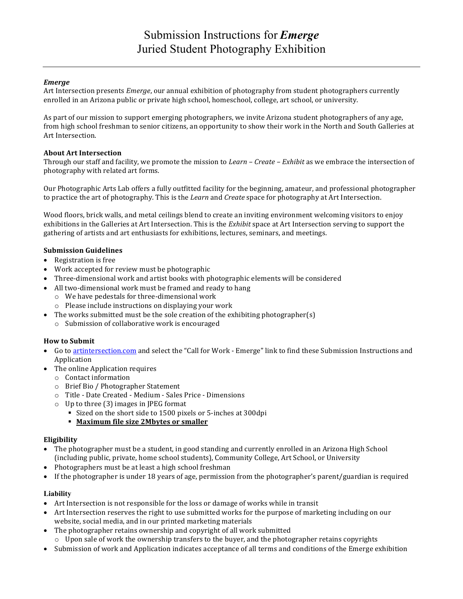# *Emerge*

Art Intersection presents *Emerge*, our annual exhibition of photography from student photographers currently enrolled in an Arizona public or private high school, homeschool, college, art school, or university.

As part of our mission to support emerging photographers, we invite Arizona student photographers of any age, from high school freshman to senior citizens, an opportunity to show their work in the North and South Galleries at Art Intersection.

### **About Art Intersection**

Through our staff and facility, we promote the mission to *Learn* – *Create* – *Exhibit* as we embrace the intersection of photography with related art forms.

Our Photographic Arts Lab offers a fully outfitted facility for the beginning, amateur, and professional photographer to practice the art of photography. This is the *Learn* and *Create* space for photography at Art Intersection.

Wood floors, brick walls, and metal ceilings blend to create an inviting environment welcoming visitors to enjoy exhibitions in the Galleries at Art Intersection. This is the *Exhibit* space at Art Intersection serving to support the gathering of artists and art enthusiasts for exhibitions, lectures, seminars, and meetings.

# **Submission Guidelines**

- $\bullet$  Registration is free
- Work accepted for review must be photographic
- Three-dimensional work and artist books with photographic elements will be considered
- All two-dimensional work must be framed and ready to hang
	- $\circ$  We have pedestals for three-dimensional work
	- $\circ$  Please include instructions on displaying your work
- The works submitted must be the sole creation of the exhibiting photographer(s)
	- $\circ$  Submission of collaborative work is encouraged

# **How to Submit**

- Go to artintersection.com and select the "Call for Work Emerge" link to find these Submission Instructions and Application
- The online Application requires
	- $\circ$  Contact information
	- o Brief Bio / Photographer Statement
	- o Title Date Created Medium Sales Price Dimensions
	- $\circ$  Up to three (3) images in JPEG format
		- Sized on the short side to 1500 pixels or 5-inches at 300dpi

### § **Maximum file size 2Mbytes or smaller**

#### **Eligibility**

- The photographer must be a student, in good standing and currently enrolled in an Arizona High School (including public, private, home school students), Community College, Art School, or University
- Photographers must be at least a high school freshman
- If the photographer is under 18 years of age, permission from the photographer's parent/guardian is required

#### **Liability**

- Art Intersection is not responsible for the loss or damage of works while in transit
- Art Intersection reserves the right to use submitted works for the purpose of marketing including on our website, social media, and in our printed marketing materials
- The photographer retains ownership and copyright of all work submitted
	- $\circ$  Upon sale of work the ownership transfers to the buyer, and the photographer retains copyrights
- Submission of work and Application indicates acceptance of all terms and conditions of the Emerge exhibition